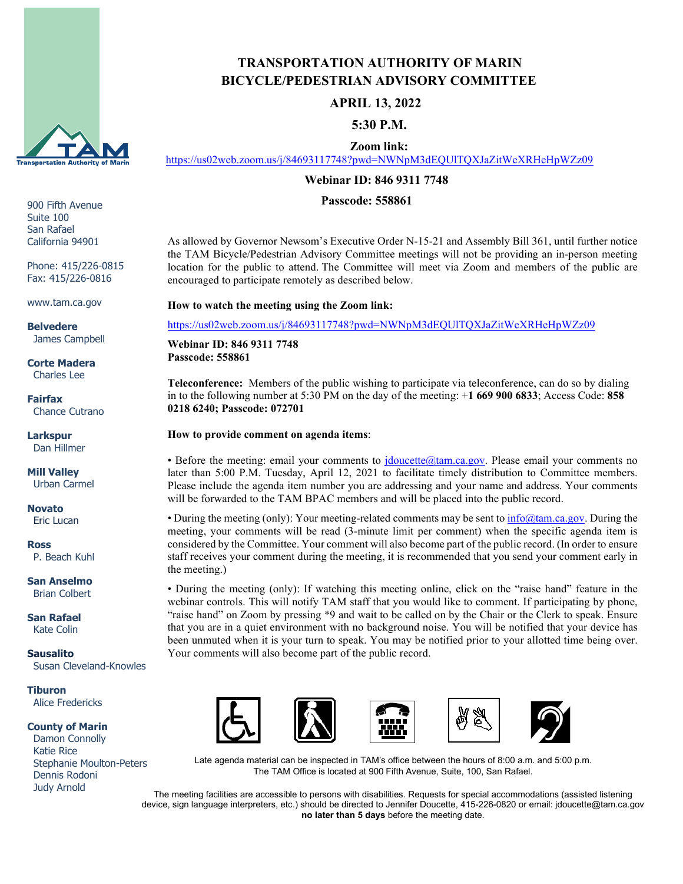

900 Fifth Avenue Suite 100 San Rafael California 94901

Phone: 415/226-0815 Fax: 415/226-0816

www.tam.ca.gov

**Belvedere** James Campbell

**Corte Madera** Charles Lee

**Fairfax** Chance Cutrano

**Larkspur** Dan Hillmer

**Mill Valley** Urban Carmel

**Novato** Eric Lucan

**Ross** P. Beach Kuhl

**San Anselmo** Brian Colbert

**San Rafael** Kate Colin

**Sausalito** Susan Cleveland-Knowles

**Tiburon** Alice Fredericks

**County of Marin**

 Damon Connolly Katie Rice Stephanie Moulton-Peters Dennis Rodoni Judy Arnold

# **TRANSPORTATION AUTHORITY OF MARIN BICYCLE/PEDESTRIAN ADVISORY COMMITTEE**

### **APRIL 13, 2022**

 **5:30 P.M.**

 **Zoom link:**

<https://us02web.zoom.us/j/84693117748?pwd=NWNpM3dEQUlTQXJaZitWeXRHeHpWZz09>

#### **Webinar ID: 846 9311 7748**

#### **Passcode: 558861**

As allowed by Governor Newsom's Executive Order N-15-21 and Assembly Bill 361, until further notice the TAM Bicycle/Pedestrian Advisory Committee meetings will not be providing an in-person meeting location for the public to attend. The Committee will meet via Zoom and members of the public are encouraged to participate remotely as described below.

**How to watch the meeting using the Zoom link:**

<https://us02web.zoom.us/j/84693117748?pwd=NWNpM3dEQUlTQXJaZitWeXRHeHpWZz09>

**Webinar ID: 846 9311 7748 Passcode: 558861**

**Teleconference:** Members of the public wishing to participate via teleconference, can do so by dialing in to the following number at 5:30 PM on the day of the meeting: +**1 669 900 6833**; Access Code: **858 0218 6240; Passcode: 072701**

#### **How to provide comment on agenda items**:

• Before the meeting: email your comments to [jdoucette@tam.ca.gov.](mailto:jdoucette@tam.ca.gov) Please email your comments no later than 5:00 P.M. Tuesday, April 12, 2021 to facilitate timely distribution to Committee members. Please include the agenda item number you are addressing and your name and address. Your comments will be forwarded to the TAM BPAC members and will be placed into the public record.

• During the meeting (only): Your meeting-related comments may be sent to  $\inf_{{\mathcal{O}}(\mathcal{U})}$  [or During the meeting, your comments will be read (3-minute limit per comment) when the specific agenda item is considered by the Committee. Your comment will also become part of the public record. (In order to ensure staff receives your comment during the meeting, it is recommended that you send your comment early in the meeting.)

• During the meeting (only): If watching this meeting online, click on the "raise hand" feature in the webinar controls. This will notify TAM staff that you would like to comment. If participating by phone, "raise hand" on Zoom by pressing \*9 and wait to be called on by the Chair or the Clerk to speak. Ensure that you are in a quiet environment with no background noise. You will be notified that your device has been unmuted when it is your turn to speak. You may be notified prior to your allotted time being over. Your comments will also become part of the public record.



Late agenda material can be inspected in TAM's office between the hours of 8:00 a.m. and 5:00 p.m. The TAM Office is located at 900 Fifth Avenue, Suite, 100, San Rafael.

The meeting facilities are accessible to persons with disabilities. Requests for special accommodations (assisted listening device, sign language interpreters, etc.) should be directed to Jennifer Doucette, 415-226-0820 or email: jdoucette@tam.ca.gov **no later than 5 days** before the meeting date.